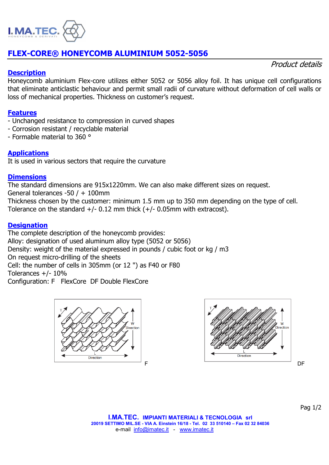

# **FLEX-CORE® HONEYCOMB ALUMINIUM 5052-5056**

### **Description**

Product details

Honeycomb aluminium Flex-core utilizes either 5052 or 5056 alloy foil. It has unique cell configurations that eliminate anticlastic behaviour and permit small radii of curvature without deformation of cell walls or loss of mechanical properties. Thickness on customer's request.

### **Features**

- Unchanged resistance to compression in curved shapes
- Corrosion resistant / recyclable material
- Formable material to 360 °

## **Applications**

It is used in various sectors that require the curvature

#### **Dimensions**

The standard dimensions are 915x1220mm. We can also make different sizes on request.

General tolerances -50 / + 100mm

Thickness chosen by the customer: minimum 1.5 mm up to 350 mm depending on the type of cell. Tolerance on the standard  $+/-$  0.12 mm thick  $(+/-$  0.05mm with extracost).

### **Designation**

The complete description of the honeycomb provides: Alloy: designation of used aluminum alloy type (5052 or 5056) Density: weight of the material expressed in pounds / cubic foot or kg / m3 On request micro-drilling of the sheets Cell: the number of cells in 305mm (or 12 ") as F40 or F80 Tolerances  $+/- 10\%$ 

Configuration: F FlexCore DF Double FlexCore





Pag 1/2